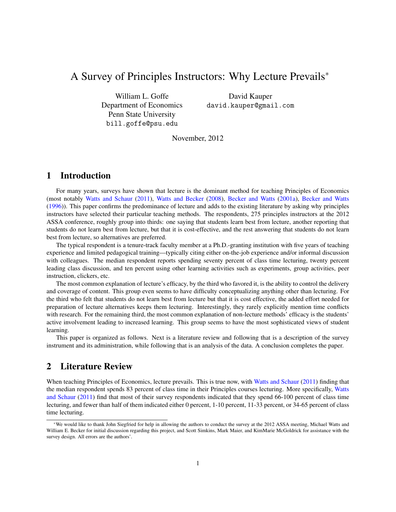# <span id="page-0-0"></span>A Survey of Principles Instructors: Why Lecture Prevails<sup>∗</sup>

William L. Goffe Department of Economics Penn State University bill.goffe@psu.edu

David Kauper david.kauper@gmail.com

November, 2012

## 1 Introduction

For many years, surveys have shown that lecture is the dominant method for teaching Principles of Economics (most notably [Watts and Schaur](#page-11-0) [\(2011\)](#page-11-0), [Watts and Becker](#page-11-1) [\(2008\)](#page-11-1), [Becker and Watts](#page-10-0) [\(2001a\)](#page-10-0), [Becker and Watts](#page-10-1) [\(1996\)](#page-10-1)). This paper confirms the predominance of lecture and adds to the existing literature by asking why principles instructors have selected their particular teaching methods. The respondents, 275 principles instructors at the 2012 ASSA conference, roughly group into thirds: one saying that students learn best from lecture, another reporting that students do not learn best from lecture, but that it is cost-effective, and the rest answering that students do not learn best from lecture, so alternatives are preferred.

The typical respondent is a tenure-track faculty member at a Ph.D.-granting institution with five years of teaching experience and limited pedagogical training—typically citing either on-the-job experience and/or informal discussion with colleagues. The median respondent reports spending seventy percent of class time lecturing, twenty percent leading class discussion, and ten percent using other learning activities such as experiments, group activities, peer instruction, clickers, etc.

The most common explanation of lecture's efficacy, by the third who favored it, is the ability to control the delivery and coverage of content. This group even seems to have difficulty conceptualizing anything other than lecturing. For the third who felt that students do not learn best from lecture but that it is cost effective, the added effort needed for preparation of lecture alternatives keeps them lecturing. Interestingly, they rarely explicitly mention time conflicts with research. For the remaining third, the most common explanation of non-lecture methods' efficacy is the students' active involvement leading to increased learning. This group seems to have the most sophisticated views of student learning.

This paper is organized as follows. Next is a literature review and following that is a description of the survey instrument and its administration, while following that is an analysis of the data. A conclusion completes the paper.

# 2 Literature Review

When teaching Principles of Economics, lecture prevails. This is true now, with [Watts and Schaur](#page-11-0) [\(2011\)](#page-11-0) finding that the median respondent spends 83 percent of class time in their Principles courses lecturing. More specifically, [Watts](#page-11-0) [and Schaur](#page-11-0) [\(2011\)](#page-11-0) find that most of their survey respondents indicated that they spend 66-100 percent of class time lecturing, and fewer than half of them indicated either 0 percent, 1-10 percent, 11-33 percent, or 34-65 percent of class time lecturing.

<sup>∗</sup>We would like to thank John Siegfried for help in allowing the authors to conduct the survey at the 2012 ASSA meeting, Michael Watts and William E. Becker for initial discussion regarding this project, and Scott Simkins, Mark Maier, and KimMarie McGoldrick for assistance with the survey design. All errors are the authors'.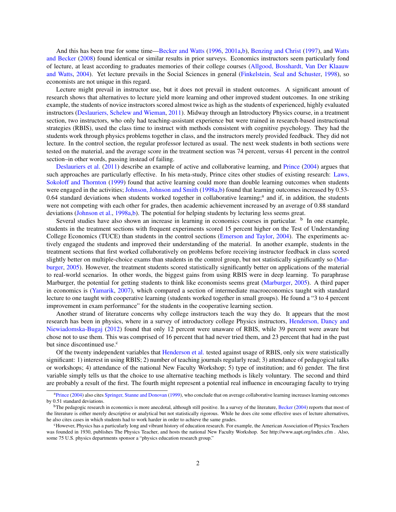<span id="page-1-0"></span>And this has been true for some time[—Becker and Watts](#page-10-1) [\(1996,](#page-10-1) [2001a,](#page-10-0)[b\)](#page-10-2), [Benzing and Christ](#page-10-3) [\(1997\)](#page-10-3), and [Watts](#page-11-1) [and Becker](#page-11-1) [\(2008\)](#page-11-1) found identical or similar results in prior surveys. Economics instructors seem particularly fond of lecture, at least according to graduates memories of their college courses [\(Allgood, Bosshardt, Van Der Klaauw](#page-10-4) [and Watts,](#page-10-4) [2004\)](#page-10-4). Yet lecture prevails in the Social Sciences in general [\(Finkelstein, Seal and Schuster,](#page-10-5) [1998\)](#page-10-5), so economists are not unique in this regard.

Lecture might prevail in instructor use, but it does not prevail in student outcomes. A significant amount of research shows that alternatives to lecture yield more learning and other improved student outcomes. In one striking example, the students of novice instructors scored almost twice as high as the students of experienced, highly evaluated instructors [\(Deslauriers, Schelew and Wieman,](#page-10-6) [2011\)](#page-10-6). Midway through an Introductory Physics course, in a treatment section, two instructors, who only had teaching-assistant experience but were trained in research-based instructional strategies (RBIS), used the class time to instruct with methods consistent with cognitive psychology. They had the students work through physics problems together in class, and the instructors merely provided feedback. They did not lecture. In the control section, the regular professor lectured as usual. The next week students in both sections were tested on the material, and the average score in the treatment section was 74 percent, versus 41 percent in the control section–in other words, passing instead of failing.

[Deslauriers et al.](#page-10-6) [\(2011\)](#page-10-6) describe an example of active and collaborative learning, and [Prince](#page-11-2) [\(2004\)](#page-11-2) argues that such approaches are particularly effective. In his meta-study, Prince cites other studies of existing research: [Laws,](#page-10-7) [Sokoloff and Thornton](#page-10-7) [\(1999\)](#page-10-7) found that active learning could more than double learning outcomes when students were engaged in the activities; [Johnson, Johnson and Smith](#page-10-8) [\(1998a](#page-10-8)[,b\)](#page-10-9) found that learning outcomes increased by 0.53-0.64 standard deviations when students worked together in collaborative learning;<sup>a</sup> and if, in addition, the students were not competing with each other for grades, then academic achievement increased by an average of 0.88 standard deviations [\(Johnson et al.,](#page-10-8) [1998a](#page-10-8)[,b\)](#page-10-9). The potential for helping students by lecturing less seems great.

Several studies have also shown an increase in learning in economics courses in particular. <sup>b</sup> In one example, students in the treatment sections with frequent experiments scored 15 percent higher on the Test of Understanding College Economics (TUCE) than students in the control sections [\(Emerson and Taylor,](#page-10-10) [2004\)](#page-10-10). The experiments actively engaged the students and improved their understanding of the material. In another example, students in the treatment sections that first worked collaboratively on problems before receiving instructor feedback in class scored slightly better on multiple-choice exams than students in the control group, but not statistically significantly so [\(Mar](#page-10-11)[burger,](#page-10-11) [2005\)](#page-10-11). However, the treatment students scored statistically significantly better on applications of the material to real-world scenarios. In other words, the biggest gains from using RBIS were in deep learning. To paraphrase Marburger, the potential for getting students to think like economists seems great [\(Marburger,](#page-10-11) [2005\)](#page-10-11). A third paper in economics is [\(Yamarik,](#page-11-3) [2007\)](#page-11-3), which compared a section of intermediate macroeconomics taught with standard lecture to one taught with cooperative learning (students worked together in small groups). He found a "3 to 4 percent improvement in exam performance" for the students in the cooperative learning section.

Another strand of literature concerns why college instructors teach the way they do. It appears that the most research has been in physics, where in a survey of introductory college Physics instructors, [Henderson, Dancy and](#page-10-12) [Niewiadomska-Bugaj](#page-10-12) [\(2012\)](#page-10-12) found that only 12 percent were unaware of RBIS, while 39 percent were aware but chose not to use them. This was comprised of 16 percent that had never tried them, and 23 percent that had in the past but since discontinued use.<sup>c</sup>

Of the twenty independent variables that [Henderson et al.](#page-10-12) tested against usage of RBIS, only six were statistically significant: 1) interest in using RBIS; 2) number of teaching journals regularly read; 3) attendance of pedagogical talks or workshops; 4) attendance of the national New Faculty Workshop; 5) type of institution; and 6) gender. The first variable simply tells us that the choice to use alternative teaching methods is likely voluntary. The second and third are probably a result of the first. The fourth might represent a potential real influence in encouraging faculty to trying

<sup>&</sup>lt;sup>a</sup>[Prince](#page-11-2) [\(2004\)](#page-11-2) also cites [Springer, Stanne and Donovan](#page-11-4) [\(1999\)](#page-11-4), who conclude that on average collaborative learning increases learning outcomes by 0.51 standard deviations.

 $b$ The pedagogic research in economics is more anecdotal, although still positive. In a survey of the literature, [Becker](#page-10-13) [\(2004\)](#page-10-13) reports that most of the literature is either merely descriptive or analytical but not statistically rigorous. While he does cite some effective uses of lecture alternatives, he also cites cases in which students had to work harder in order to achieve the same grades.

<sup>&</sup>lt;sup>c</sup>However, Physics has a particularly long and vibrant history of education research. For example, the American Association of Physics Teachers was founded in 1930, publishes The Physics Teacher, and hosts the national New Faculty Workshop. See http://www.aapt.org/index.cfm . Also, some 75 U.S. physics departments sponsor a "physics education research group."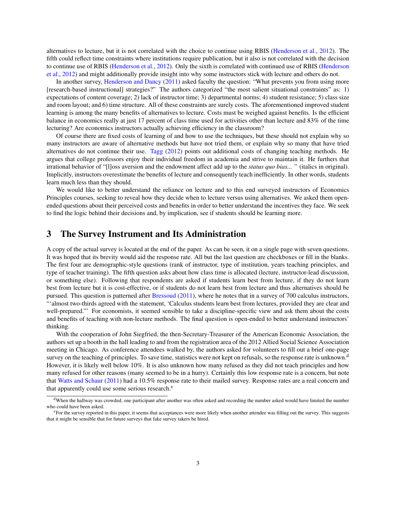<span id="page-2-0"></span>alternatives to lecture, but it is not correlated with the choice to continue using RBIS [\(Henderson et al.,](#page-10-12) [2012\)](#page-10-12). The fifth could reflect time constraints where institutions require publication, but it also is not correlated with the decision to continue use of RBIS [\(Henderson et al.,](#page-10-12) [2012\)](#page-10-12). Only the sixth is correlated with continued use of RBIS [\(Henderson](#page-10-12) [et al.,](#page-10-12) [2012\)](#page-10-12) and might additionally provide insight into why some instructors stick with lecture and others do not.

In another survey, [Henderson and Dancy](#page-10-14) [\(2011\)](#page-10-14) asked faculty the question: "What prevents you from using more [research-based instructional] strategies?" The authors categorized "the most salient situational constraints" as: 1) expectations of content coverage; 2) lack of instructor time; 3) departmental norms; 4) student resistance; 5) class size and room layout; and 6) time structure. All of these constraints are surely costs. The aforementioned improved student learning is among the many benefits of alternatives to lecture. Costs must be weighed against benefits. Is the efficient balance in economics really at just 17 percent of class time used for activities other than lecture and 83% of the time lecturing? Are economics instructors actually achieving efficiency in the classroom?

Of course there are fixed costs of learning of and how to use the techniques, but these should not explain why so many instructors are aware of alternative methods but have not tried them, or explain why so many that have tried alternatives do not continue their use. [Tagg](#page-11-5) [\(2012\)](#page-11-5) points out additional costs of changing teaching methods. He argues that college professors enjoy their individual freedom in academia and strive to maintain it. He furthers that irrational behavior of "[l]oss aversion and the endowment affect add up to the *status quo bias...* " (italics in original). Implicitly, instructors overestimate the benefits of lecture and consequently teach inefficiently. In other words, students learn much less than they should.

We would like to better understand the reliance on lecture and to this end surveyed instructors of Economics Principles courses, seeking to reveal how they decide when to lecture versus using alternatives. We asked them openended questions about their perceived costs and benefits in order to better understand the incentives they face. We seek to find the logic behind their decisions and, by implication, see if students should be learning more.

## 3 The Survey Instrument and Its Administration

A copy of the actual survey is located at the end of the paper. As can be seen, it on a single page with seven questions. It was hoped that its brevity would aid the response rate. All but the last question are checkboxes or fill in the blanks. The first four are demographic-style questions (rank of instructor, type of institution, years teaching principles, and type of teacher training). The fifth question asks about how class time is allocated (lecture, instructor-lead discussion, or something else). Following that respondents are asked if students learn best from lecture, if they do not learn best from lecture but it is cost-effective, or if students do not learn best from lecture and thus alternatives should be pursued. This question is patterned after [Bressoud](#page-10-15) [\(2011\)](#page-10-15), where he notes that in a survey of 700 calculus instructors, "'almost two-thirds agreed with the statement, 'Calculus students learn best from lectures, provided they are clear and well-prepared."' For economists, it seemed sensible to take a discipline-specific view and ask them about the costs and benefits of teaching with non-lecture methods. The final question is open-ended to better understand instructors' thinking.

With the cooperation of John Siegfried, the then-Secretary-Treasurer of the American Economic Association, the authors set up a booth in the hall leading to and from the registration area of the 2012 Allied Social Science Association meeting in Chicago. As conference attendees walked by, the authors asked for volunteers to fill out a brief one-page survey on the teaching of principles. To save time, statistics were not kept on refusals, so the response rate is unknown.<sup>d</sup> However, it is likely well below 10%. It is also unknown how many refused as they did not teach principles and how many refused for other reasons (many seemed to be in a hurry). Certainly this low response rate is a concern, but note that [Watts and Schaur](#page-11-0) [\(2011\)](#page-11-0) had a 10.5% response rate to their mailed survey. Response rates are a real concern and that apparently could use some serious research. $e^{\theta}$ 

<sup>&</sup>lt;sup>d</sup>When the hallway was crowded, one participant after another was often asked and recording the number asked would have limited the number who could have been asked.

<sup>&</sup>lt;sup>e</sup>For the survey reported in this paper, it seems that acceptances were more likely when another attendee was filling out the survey. This suggests that it might be sensible that for future surveys that fake survey takers be hired.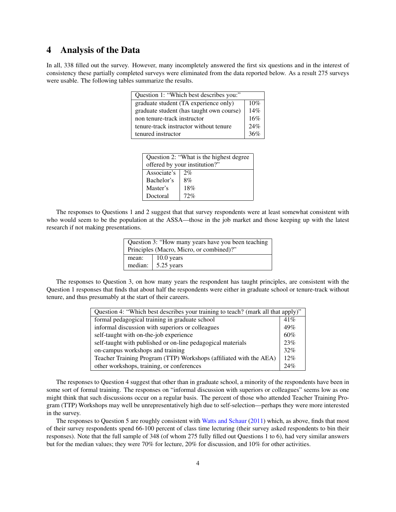#### <span id="page-3-0"></span>4 Analysis of the Data

In all, 338 filled out the survey. However, many incompletely answered the first six questions and in the interest of consistency these partially completed surveys were eliminated from the data reported below. As a result 275 surveys were usable. The following tables summarize the results.

| Question 1: "Which best describes you:"  |     |  |
|------------------------------------------|-----|--|
| graduate student (TA experience only)    | 10% |  |
| graduate student (has taught own course) | 14% |  |
| non tenure-track instructor              |     |  |
| tenure-track instructor without tenure   | 24% |  |
| tenured instructor                       |     |  |

| Question 2: "What is the highest degree" |     |  |
|------------------------------------------|-----|--|
| offered by your institution?"            |     |  |
| Associate's                              | 2%  |  |
| Bachelor's                               | 8%  |  |
| Master's                                 | 18% |  |
| Doctoral                                 | 72% |  |

The responses to Questions 1 and 2 suggest that that survey respondents were at least somewhat consistent with who would seem to be the population at the ASSA—those in the job market and those keeping up with the latest research if not making presentations.

| Question 3: "How many years have you been teaching |                            |  |
|----------------------------------------------------|----------------------------|--|
| Principles (Macro, Micro, or combined)?"           |                            |  |
| mean:                                              | 10.0 years                 |  |
|                                                    | median: $\vert$ 5.25 years |  |

The responses to Question 3, on how many years the respondent has taught principles, are consistent with the Question 1 responses that finds that about half the respondents were either in graduate school or tenure-track without tenure, and thus presumably at the start of their careers.

| Question 4: "Which best describes your training to teach? (mark all that apply)" |     |  |
|----------------------------------------------------------------------------------|-----|--|
| formal pedagogical training in graduate school                                   |     |  |
| informal discussion with superiors or colleagues                                 | 49% |  |
| self-taught with on-the-job experience                                           |     |  |
| self-taught with published or on-line pedagogical materials                      |     |  |
| on-campus workshops and training                                                 |     |  |
| Teacher Training Program (TTP) Workshops (affiliated with the AEA)               |     |  |
| other workshops, training, or conferences                                        |     |  |

The responses to Question 4 suggest that other than in graduate school, a minority of the respondents have been in some sort of formal training. The responses on "informal discussion with superiors or colleagues" seems low as one might think that such discussions occur on a regular basis. The percent of those who attended Teacher Training Program (TTP) Workshops may well be unrepresentatively high due to self-selection—perhaps they were more interested in the survey.

The responses to Question 5 are roughly consistent with [Watts and Schaur](#page-11-0) [\(2011\)](#page-11-0) which, as above, finds that most of their survey respondents spend 66-100 percent of class time lecturing (their survey asked respondents to bin their responses). Note that the full sample of 348 (of whom 275 fully filled out Questions 1 to 6), had very similar answers but for the median values; they were 70% for lecture, 20% for discussion, and 10% for other activities.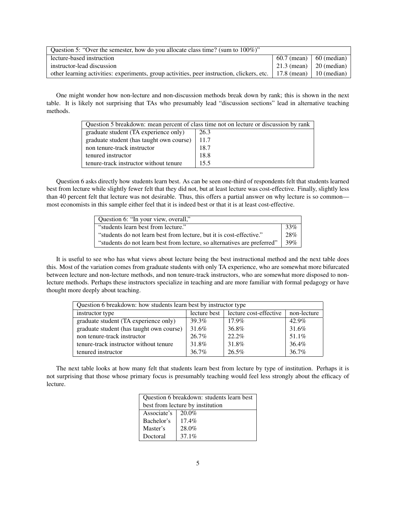| Question 5: "Over the semester, how do you allocate class time? (sum to $100\%$ )"                                     |                           |  |
|------------------------------------------------------------------------------------------------------------------------|---------------------------|--|
| lecture-based instruction                                                                                              | 60.7 (mean)   60 (median) |  |
| instructor-lead discussion                                                                                             | 21.3 (mean)   20 (median) |  |
| other learning activities: experiments, group activities, peer instruction, clickers, etc.   17.8 (mean)   10 (median) |                           |  |

One might wonder how non-lecture and non-discussion methods break down by rank; this is shown in the next table. It is likely not surprising that TAs who presumably lead "discussion sections" lead in alternative teaching methods.

| Question 5 breakdown: mean percent of class time not on lecture or discussion by rank |       |  |
|---------------------------------------------------------------------------------------|-------|--|
| graduate student (TA experience only)                                                 | 26.3  |  |
| $graduate student (has taught own course)$                                            | -11.7 |  |
| non tenure-track instructor                                                           | 18.7  |  |
| tenured instructor                                                                    | 18.8  |  |
| tenure-track instructor without tenure                                                | 15.5  |  |

Question 6 asks directly how students learn best. As can be seen one-third of respondents felt that students learned best from lecture while slightly fewer felt that they did not, but at least lecture was cost-effective. Finally, slightly less than 40 percent felt that lecture was not desirable. Thus, this offers a partial answer on why lecture is so common most economists in this sample either feel that it is indeed best or that it is at least cost-effective.

| Question 6: "In your view, overall,"                                     |     |
|--------------------------------------------------------------------------|-----|
| "students learn best from lecture."                                      | 33% |
| "students do not learn best from lecture, but it is cost-effective."     | 28% |
| "students do not learn best from lecture, so alternatives are preferred" | 39% |

It is useful to see who has what views about lecture being the best instructional method and the next table does this. Most of the variation comes from graduate students with only TA experience, who are somewhat more bifurcated between lecture and non-lecture methods, and non tenure-track instructors, who are somewhat more disposed to nonlecture methods. Perhaps these instructors specialize in teaching and are more familiar with formal pedagogy or have thought more deeply about teaching.

| Question 6 breakdown: how students learn best by instructor type |              |                        |             |
|------------------------------------------------------------------|--------------|------------------------|-------------|
| instructor type                                                  | lecture best | lecture cost-effective | non-lecture |
| graduate student (TA experience only)                            | 39.3%        | $17.9\%$               | 42.9%       |
| graduate student (has taught own course)                         | 31.6%        | 36.8%                  | 31.6%       |
| non tenure-track instructor                                      | 26.7%        | 22.2%                  | 51.1%       |
| tenure-track instructor without tenure                           | 31.8%        | 31.8%                  | 36.4%       |
| tenured instructor                                               | 36.7%        | 26.5%                  | 36.7%       |

The next table looks at how many felt that students learn best from lecture by type of institution. Perhaps it is not surprising that those whose primary focus is presumably teaching would feel less strongly about the efficacy of lecture.

| Question 6 breakdown: students learn best |          |  |
|-------------------------------------------|----------|--|
| best from lecture by institution          |          |  |
| Associate's                               | $20.0\%$ |  |
| Bachelor's                                | $17.4\%$ |  |
| Master's                                  | 28.0%    |  |
| Doctoral                                  | 37.1%    |  |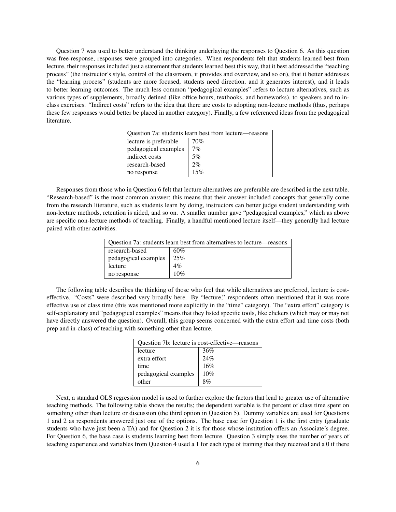Question 7 was used to better understand the thinking underlaying the responses to Question 6. As this question was free-response, responses were grouped into categories. When respondents felt that students learned best from lecture, their responses included just a statement that students learned best this way, that it best addressed the "teaching process" (the instructor's style, control of the classroom, it provides and overview, and so on), that it better addresses the "learning process" (students are more focused, students need direction, and it generates interest), and it leads to better learning outcomes. The much less common "pedagogical examples" refers to lecture alternatives, such as various types of supplements, broadly defined (like office hours, textbooks, and homeworks), to speakers and to inclass exercises. "Indirect costs" refers to the idea that there are costs to adopting non-lecture methods (thus, perhaps these few responses would better be placed in another category). Finally, a few referenced ideas from the pedagogical literature.

| Question 7a: students learn best from lecture—reasons |       |  |
|-------------------------------------------------------|-------|--|
| lecture is preferable                                 | 70%   |  |
| pedagogical examples                                  | 7%    |  |
| indirect costs                                        | 5%    |  |
| research-based                                        | $2\%$ |  |
| no response                                           | 15%   |  |

Responses from those who in Question 6 felt that lecture alternatives are preferable are described in the next table. "Research-based" is the most common answer; this means that their answer included concepts that generally come from the research literature, such as students learn by doing, instructors can better judge student understanding with non-lecture methods, retention is aided, and so on. A smaller number gave "pedagogical examples," which as above are specific non-lecture methods of teaching. Finally, a handful mentioned lecture itself—they generally had lecture paired with other activities.

| Question 7a: students learn best from alternatives to lecture—reasons |       |  |
|-----------------------------------------------------------------------|-------|--|
| research-based                                                        | 60%   |  |
| pedagogical examples                                                  | 25%   |  |
| lecture                                                               | $4\%$ |  |
| no response                                                           | 10%   |  |

The following table describes the thinking of those who feel that while alternatives are preferred, lecture is costeffective. "Costs" were described very broadly here. By "lecture," respondents often mentioned that it was more effective use of class time (this was mentioned more explicitly in the "time" category). The "extra effort" category is self-explanatory and "pedagogical examples" means that they listed specific tools, like clickers (which may or may not have directly answered the question). Overall, this group seems concerned with the extra effort and time costs (both prep and in-class) of teaching with something other than lecture.

| Question 7b: lecture is cost-effective—reasons |      |  |
|------------------------------------------------|------|--|
| lecture                                        | 36%  |  |
| extra effort                                   | 24%  |  |
| time                                           | 16%  |  |
| pedagogical examples                           | 10%  |  |
| $\alpha$ ther                                  | 8 OZ |  |

Next, a standard OLS regression model is used to further explore the factors that lead to greater use of alternative teaching methods. The following table shows the results; the dependent variable is the percent of class time spent on something other than lecture or discussion (the third option in Question 5). Dummy variables are used for Questions 1 and 2 as respondents answered just one of the options. The base case for Question 1 is the first entry (graduate students who have just been a TA) and for Question 2 it is for those whose institution offers an Associate's degree. For Question 6, the base case is students learning best from lecture. Question 3 simply uses the number of years of teaching experience and variables from Question 4 used a 1 for each type of training that they received and a 0 if there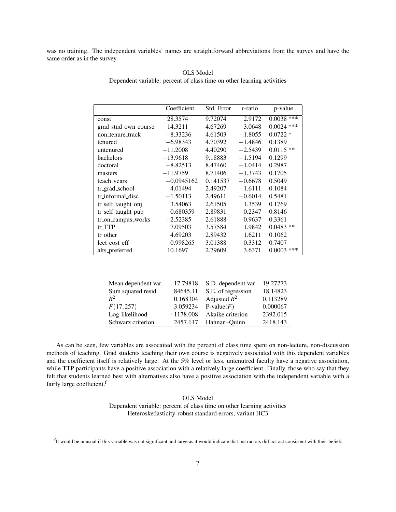was no training. The independent variables' names are straightforward abbreviations from the survey and have the same order as in the survey.

|                      | Coefficient  | Std. Error | $t$ -ratio | p-value      |
|----------------------|--------------|------------|------------|--------------|
| const                | 28.3574      | 9.72074    | 2.9172     | $0.0038$ *** |
| grad_stud_own_course | $-14.3211$   | 4.67269    | $-3.0648$  | $0.0024$ *** |
| non_tenure_track     | $-8.33236$   | 4.61503    | $-1.8055$  | $0.0722*$    |
| tenured              | $-6.98343$   | 4.70392    | $-1.4846$  | 0.1389       |
| untenured            | $-11.2008$   | 4.40290    | $-2.5439$  | $0.0115**$   |
| bachelors            | $-13.9618$   | 9.18883    | $-1.5194$  | 0.1299       |
| doctoral             | $-8.82513$   | 8.47460    | $-1.0414$  | 0.2987       |
| masters              | $-11.9759$   | 8.71406    | $-1.3743$  | 0.1705       |
| teach_years          | $-0.0945162$ | 0.141537   | $-0.6678$  | 0.5049       |
| tr_grad_school       | 4.01494      | 2.49207    | 1.6111     | 0.1084       |
| tr_informal_disc     | $-1.50113$   | 2.49611    | $-0.6014$  | 0.5481       |
| tr_self_taught_onj   | 3.54063      | 2.61505    | 1.3539     | 0.1769       |
| tr_self_taught_pub   | 0.680359     | 2.89831    | 0.2347     | 0.8146       |
| tr_on_campus_works   | $-2.52385$   | 2.61888    | $-0.9637$  | 0.3361       |
| $tr_TTP$             | 7.09503      | 3.57584    | 1.9842     | $0.0483**$   |
| tr_other             | 4.69203      | 2.89432    | 1.6211     | 0.1062       |
| lect_cost_eff        | 0.998265     | 3.01388    | 0.3312     | 0.7407       |
| alts_preferred       | 10.1697      | 2.79609    | 3.6371     | $0.0003$ *** |

OLS Model Dependent variable: percent of class time on other learning activities

| Mean dependent var | 17.79818    | S.D. dependent var | 19.27273 |
|--------------------|-------------|--------------------|----------|
| Sum squared resid  | 84645.11    | S.E. of regression | 18.14823 |
| $R^2$              | 0.168304    | Adjusted $R^2$     | 0.113289 |
| F(17,257)          | 3.059234    | $P-value(F)$       | 0.000067 |
| Log-likelihood     | $-1178.008$ | Akaike criterion   | 2392.015 |
| Schwarz criterion  | 2457.117    | Hannan-Quinn       | 2418.143 |

As can be seen, few variables are assocaited with the percent of class time spent on non-lecture, non-discussion methods of teaching. Grad students teaching their own course is negatively associated with this dependent variables and the coefficient itself is relatively large. At the 5% level or less, untenutred faculty have a negative association, while TTP participants have a positive association with a relatively large coefficient. Finally, those who say that they felt that students learned best with alternatives also have a positive association with the independent variable with a fairly large coefficient.<sup>f</sup>

> OLS Model Dependent variable: percent of class time on other learning activities Heteroskedasticity-robust standard errors, variant HC3

<sup>&</sup>lt;sup>f</sup>It would be unusual if this variable was not significant and large as it would indicate that instructors did not act consistent with their beliefs.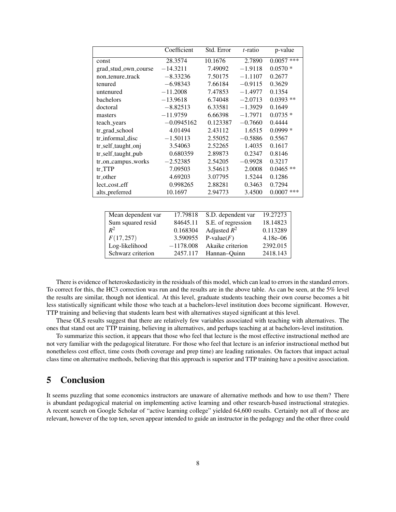|       |                      | Coefficient  | Std. Error         | $t$ -ratio | p-value      |
|-------|----------------------|--------------|--------------------|------------|--------------|
| const |                      | 28.3574      | 10.1676            | 2.7890     | $0.0057$ *** |
|       | grad_stud_own_course | $-14.3211$   | 7.49092            | $-1.9118$  | $0.0570*$    |
|       | non_tenure_track     | $-8.33236$   | 7.50175            | $-1.1107$  | 0.2677       |
|       | tenured              | $-6.98343$   | 7.66184            | $-0.9115$  | 0.3629       |
|       | untenured            | $-11.2008$   | 7.47853            | $-1.4977$  | 0.1354       |
|       | bachelors            | $-13.9618$   | 6.74048            | $-2.0713$  | $0.0393**$   |
|       | doctoral             | $-8.82513$   | 6.33581            | $-1.3929$  | 0.1649       |
|       | masters              | $-11.9759$   | 6.66398            | $-1.7971$  | $0.0735*$    |
|       | teach_years          | $-0.0945162$ | 0.123387           | $-0.7660$  | 0.4444       |
|       | tr_grad_school       | 4.01494      | 2.43112            | 1.6515     | $0.0999*$    |
|       | tr_informal_disc     | $-1.50113$   | 2.55052            | $-0.5886$  | 0.5567       |
|       | tr_self_taught_onj   | 3.54063      | 2.52265            | 1.4035     | 0.1617       |
|       | tr_self_taught_pub   | 0.680359     | 2.89873            | 0.2347     | 0.8146       |
|       | tr_on_campus_works   | $-2.52385$   | 2.54205            | $-0.9928$  | 0.3217       |
|       | $tr_TTP$             | 7.09503      | 3.54613            | 2.0008     | $0.0465$ **  |
|       | tr_other             | 4.69203      | 3.07795            | 1.5244     | 0.1286       |
|       | lect_cost_eff        | 0.998265     | 2.88281            | 0.3463     | 0.7294       |
|       | alts_preferred       | 10.1697      | 2.94773            | 3.4500     | $0.0007$ *** |
|       |                      |              |                    |            |              |
|       |                      |              |                    |            |              |
|       | Mean dependent var   | 17.79818     | S.D. dependent var |            | 19.27273     |
|       | Sum squared resid    | 84645.11     | S.E. of regression |            | 18.14823     |

| <b>NICAII GEPETIUEIII</b> VAL | 11.79010    | 3.D. GEPERIGHT VAL | 17.2121      |
|-------------------------------|-------------|--------------------|--------------|
| Sum squared resid             | 84645.11    | S.E. of regression | 18.14823     |
| $R^2$                         | 0.168304    | Adjusted $R^2$     | 0.113289     |
| F(17,257)                     | 3.590955    | $P-value(F)$       | $4.18e - 06$ |
| Log-likelihood                | $-1178.008$ | Akaike criterion   | 2392.015     |
| Schwarz criterion             | 2457.117    | Hannan-Ouinn       | 2418.143     |

There is evidence of heteroskedasticity in the residuals of this model, which can lead to errors in the standard errors. To correct for this, the HC3 correction was run and the results are in the above table. As can be seen, at the 5% level the results are similar, though not identical. At this level, graduate students teaching their own course becomes a bit less statistically significant while those who teach at a bachelors-level institution does become significant. However, TTP training and believing that students learn best with alternatives stayed significant at this level.

These OLS results suggest that there are relatively few variables associated with teaching with alternatives. The ones that stand out are TTP training, believing in alternatives, and perhaps teaching at at bachelors-level institution.

To summarize this section, it appears that those who feel that lecture is the most effective instructional method are not very familiar with the pedagogical literature. For those who feel that lecture is an inferior instructional method but nonetheless cost effect, time costs (both coverage and prep time) are leading rationales. On factors that impact actual class time on alternative methods, believing that this approach is superior and TTP training have a positive association.

## 5 Conclusion

It seems puzzling that some economics instructors are unaware of alternative methods and how to use them? There is abundant pedagogical material on implementing active learning and other research-based instructional strategies. A recent search on Google Scholar of "active learning college" yielded 64,600 results. Certainly not all of those are relevant, however of the top ten, seven appear intended to guide an instructor in the pedagogy and the other three could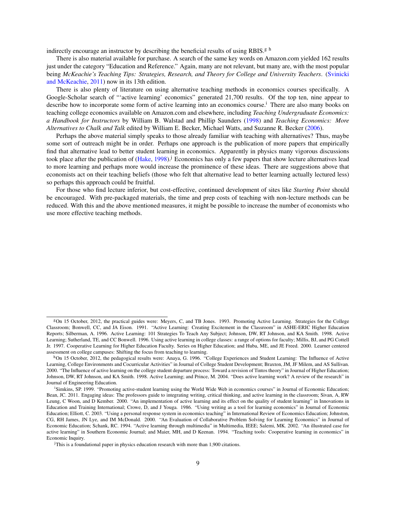<span id="page-8-0"></span>indirectly encourage an instructor by describing the beneficial results of using RBIS.<sup>g h</sup>

There is also material available for purchase. A search of the same key words on Amazon.com yielded 162 results just under the category "Education and Reference." Again, many are not relevant, but many are, with the most popular being *McKeachie's Teaching Tips: Strategies, Research, and Theory for College and University Teachers*. [\(Svinicki](#page-11-6) [and McKeachie,](#page-11-6) [2011\)](#page-11-6) now in its 13th edition.

There is also plenty of literature on using alternative teaching methods in economics courses specifically. A Google-Scholar search of "'active learning' economics" generated 21,700 results. Of the top ten, nine appear to describe how to incorporate some form of active learning into an economics course.<sup>i</sup> There are also many books on teaching college economics available on Amazon.com and elsewhere, including *Teaching Undergraduate Economics: a Handbook for Instructors* by William B. Walstad and Phillip Saunders [\(1998\)](#page-11-7) and *Teaching Economics: More Alternatives to Chalk and Talk* edited by William E. Becker, Michael Watts, and Suzanne R. Becker [\(2006\)](#page-10-16).

Perhaps the above material simply speaks to those already familiar with teaching with alternatives? Thus, maybe some sort of outreach might be in order. Perhaps one approach is the publication of more papers that empirically find that alternative lead to better student learning in economics. Apparently in physics many vigorous discussions took place after the publication of  $(Hake, 1998)$  $(Hake, 1998)$  $(Hake, 1998)$ .<sup>j</sup> Economics has only a few papers that show lecture alternatives lead to more learning and perhaps more would increase the prominence of these ideas. There are suggestions above that economists act on their teaching beliefs (those who felt that alternative lead to better learning actually lectured less) so perhaps this approach could be fruitful.

For those who find lecture inferior, but cost-effective, continued development of sites like *Starting Point* should be encouraged. With pre-packaged materials, the time and prep costs of teaching with non-lecture methods can be reduced. With this and the above mentioned measures, it might be possible to increase the number of economists who use more effective teaching methods.

<sup>g</sup>On 15 October, 2012, the practical guides were: Meyers, C, and TB Jones. 1993. Promoting Active Learning. Strategies for the College Classroom; Bonwell, CC, and JA Eison. 1991. "Active Learning: Creating Excitement in the Classroom" in ASHE-ERIC Higher Education Reports; Silberman, A. 1996. Active Learning: 101 Strategies To Teach Any Subject; Johnson, DW, RT Johnson, and KA Smith. 1998. Active Learning; Sutherland, TE, and CC Bonwell. 1996. Using active learning in college classes: a range of options for faculty; Millis, BJ, and PG Cottell Jr. 1997. Cooperative Learning for Higher Education Faculty. Series on Higher Education; and Huba, ME, and JE Freed. 2000. Learner centered assessment on college campuses: Shifting the focus from teaching to learning.

hOn 15 October, 2012, the pedagogical results were: Anaya, G. 1996. "College Experiences and Student Learning: The Influence of Active Learning, College Environments and Cocurricular Activities" in Journal of College Student Development; Braxton, JM, JF Milem, and AS Sullivan. 2000. "The Influence of active learning on the college student departure process: Toward a revision of Tintos theory" in Journal of Higher Education; Johnson, DW, RT Johnson, and KA Smith. 1998. Active Learning; and Prince, M. 2004. "Does active learning work? A review of the research" in Journal of Engineering Education.

<sup>&</sup>lt;sup>1</sup>Simkins, SP. 1999. "Promoting active-student learning using the World Wide Web in economics courses" in Journal of Economic Education; Bean, JC. 2011. Engaging ideas: The professors guide to integrating writing, critical thinking, and active learning in the classroom; Sivan, A, RW Leung, C Woon, and D Kember. 2000. "An implementation of active learning and its effect on the quality of student learning" in Innovations in Education and Training International; Crowe, D, and J Youga. 1986. "Using writing as a tool for learning economics" in Journal of Economic Education; Elliott, C. 2003. "Using a personal response system in economics teaching" in International Review of Economics Education; Johnston, CG, RH James, JN Lye, and IM McDonald. 2000. "An Evaluation of Collaborative Problem Solving for Learning Economics" in Journal of Economic Education; Schank, RC. 1994. "Active learning through multimedia" in Multimedia, IEEE; Salemi, MK. 2002. "An illustrated case for active learning" in Southern Economic Journal; and Maier, MH, and D Keenan. 1994. "Teaching tools: Cooperative learning in economics" in Economic Inquiry.

<sup>j</sup>This is a foundational paper in physics education research with more than 1,900 citations.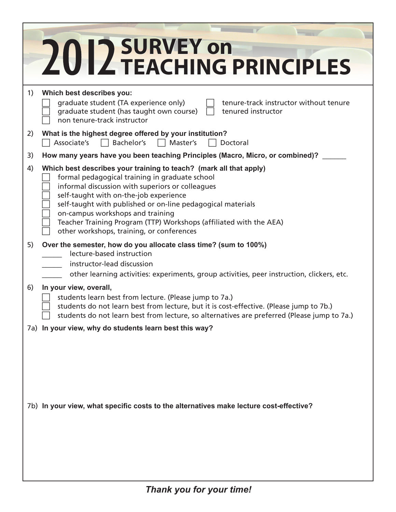|    | 2012 SURVEY on <b>2012 TEACHING PRINCIPLES</b>                                                                                                                                                                                                                                                                                                                                                                                           |
|----|------------------------------------------------------------------------------------------------------------------------------------------------------------------------------------------------------------------------------------------------------------------------------------------------------------------------------------------------------------------------------------------------------------------------------------------|
| 1) | Which best describes you:<br>graduate student (TA experience only)<br>tenure-track instructor without tenure<br>graduate student (has taught own course)<br>tenured instructor<br>non tenure-track instructor                                                                                                                                                                                                                            |
| 2) | What is the highest degree offered by your institution?<br>Associate's<br>$\Box$ Bachelor's<br>Master's<br>Doctoral                                                                                                                                                                                                                                                                                                                      |
| 3) | How many years have you been teaching Principles (Macro, Micro, or combined)?                                                                                                                                                                                                                                                                                                                                                            |
| 4) | Which best describes your training to teach? (mark all that apply)<br>formal pedagogical training in graduate school<br>informal discussion with superiors or colleagues<br>self-taught with on-the-job experience<br>self-taught with published or on-line pedagogical materials<br>on-campus workshops and training<br>Teacher Training Program (TTP) Workshops (affiliated with the AEA)<br>other workshops, training, or conferences |
| 5) | Over the semester, how do you allocate class time? (sum to 100%)<br>lecture-based instruction<br>instructor-lead discussion<br>other learning activities: experiments, group activities, peer instruction, clickers, etc.                                                                                                                                                                                                                |
| 6) | In your view, overall,<br>students learn best from lecture. (Please jump to 7a.)<br>students do not learn best from lecture, but it is cost-effective. (Please jump to 7b.)<br>students do not learn best from lecture, so alternatives are preferred (Please jump to 7a.)                                                                                                                                                               |
|    | 7a) In your view, why do students learn best this way?                                                                                                                                                                                                                                                                                                                                                                                   |
|    | 7b) In your view, what specific costs to the alternatives make lecture cost-effective?                                                                                                                                                                                                                                                                                                                                                   |
|    |                                                                                                                                                                                                                                                                                                                                                                                                                                          |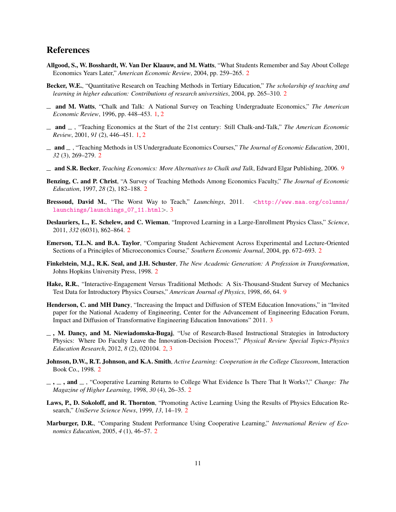#### References

- <span id="page-10-4"></span>Allgood, S., W. Bosshardt, W. Van Der Klaauw, and M. Watts, "What Students Remember and Say About College Economics Years Later," *American Economic Review*, 2004, pp. 259–265. [2](#page-1-0)
- <span id="page-10-13"></span>Becker, W.E., "Quantitative Research on Teaching Methods in Tertiary Education," *The scholarship of teaching and learning in higher education: Contributions of research universities*, 2004, pp. 265–310. [2](#page-1-0)
- <span id="page-10-1"></span>and M. Watts, "Chalk and Talk: A National Survey on Teaching Undergraduate Economics," *The American Economic Review*, 1996, pp. 448–453. [1,](#page-0-0) [2](#page-1-0)
- <span id="page-10-0"></span>and , "Teaching Economics at the Start of the 21st century: Still Chalk-and-Talk," *The American Economic Review*, 2001, *91* (2), 446–451. [1,](#page-0-0) [2](#page-1-0)
- <span id="page-10-2"></span>and , "Teaching Methods in US Undergraduate Economics Courses," *The Journal of Economic Education*, 2001, *32* (3), 269–279. [2](#page-1-0)
- <span id="page-10-16"></span>and S.R. Becker, *Teaching Economics: More Alternatives to Chalk and Talk*, Edward Elgar Publishing, 2006. [9](#page-8-0)
- <span id="page-10-3"></span>Benzing, C. and P. Christ, "A Survey of Teaching Methods Among Economics Faculty," *The Journal of Economic Education*, 1997, *28* (2), 182–188. [2](#page-1-0)
- <span id="page-10-15"></span>Bressoud, David M., "The Worst Way to Teach," *Launchings*, 2011. <[http://www.maa.org/columns/](http://www.maa.org/columns/launchings/launchings_07_11.html) [launchings/launchings\\_07\\_11.html](http://www.maa.org/columns/launchings/launchings_07_11.html)>. [3](#page-2-0)
- <span id="page-10-6"></span>Deslauriers, L., E. Schelew, and C. Wieman, "Improved Learning in a Large-Enrollment Physics Class," *Science*, 2011, *332* (6031), 862–864. [2](#page-1-0)
- <span id="page-10-10"></span>Emerson, T.L.N. and B.A. Taylor, "Comparing Student Achievement Across Experimental and Lecture-Oriented Sections of a Principles of Microeconomics Course," *Southern Economic Journal*, 2004, pp. 672–693. [2](#page-1-0)
- <span id="page-10-5"></span>Finkelstein, M.J., R.K. Seal, and J.H. Schuster, *The New Academic Generation: A Profession in Transformation*, Johns Hopkins University Press, 1998. [2](#page-1-0)
- <span id="page-10-17"></span>Hake, R.R., "Interactive-Engagement Versus Traditional Methods: A Six-Thousand-Student Survey of Mechanics Test Data for Introductory Physics Courses," *American Journal of Physics*, 1998, *66*, 64. [9](#page-8-0)
- <span id="page-10-14"></span>Henderson, C. and MH Dancy, "Increasing the Impact and Diffusion of STEM Education Innovations," in "Invited paper for the National Academy of Engineering, Center for the Advancement of Engineering Education Forum, Impact and Diffusion of Transformative Engineering Education Innovations" 2011. [3](#page-2-0)
- <span id="page-10-12"></span> $\Box$ , M. Dancy, and M. Niewiadomska-Bugaj, "Use of Research-Based Instructional Strategies in Introductory Physics: Where Do Faculty Leave the Innovation-Decision Process?," *Physical Review Special Topics-Physics Education Research*, 2012, *8* (2), 020104. [2,](#page-1-0) [3](#page-2-0)
- <span id="page-10-8"></span>Johnson, D.W., R.T. Johnson, and K.A. Smith, *Active Learning: Cooperation in the College Classroom*, Interaction Book Co., 1998. [2](#page-1-0)
- <span id="page-10-9"></span> $, \ldots$ , and  $\ldots$ , "Cooperative Learning Returns to College What Evidence Is There That It Works?," *Change: The Magazine of Higher Learning*, 1998, *30* (4), 26–35. [2](#page-1-0)
- <span id="page-10-7"></span>Laws, P., D. Sokoloff, and R. Thornton, "Promoting Active Learning Using the Results of Physics Education Research," *UniServe Science News*, 1999, *13*, 14–19. [2](#page-1-0)
- <span id="page-10-11"></span>Marburger, D.R., "Comparing Student Performance Using Cooperative Learning," *International Review of Economics Education*, 2005, *4* (1), 46–57. [2](#page-1-0)